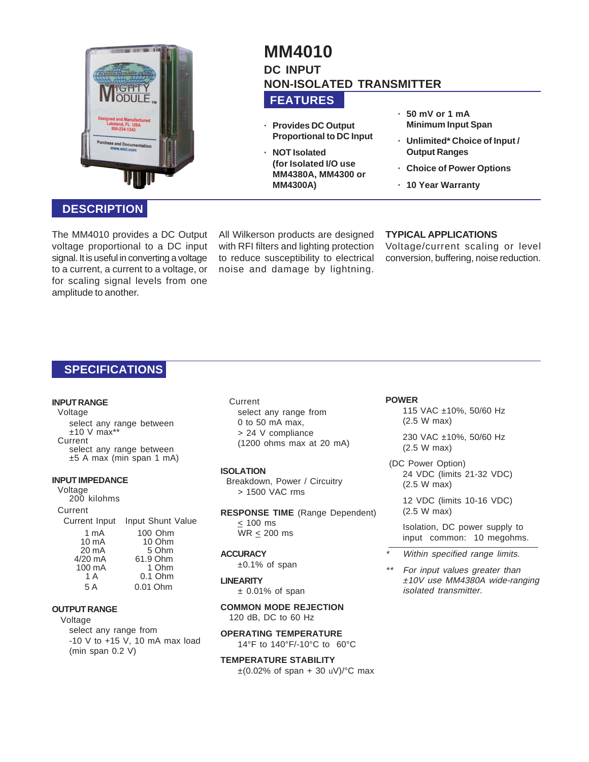

# **DESCRIPTION**

The MM4010 provides a DC Output voltage proportional to a DC input signal. It is useful in converting a voltage to a current, a current to a voltage, or for scaling signal levels from one amplitude to another.

## All Wilkerson products are designed with RFI filters and lighting protection to reduce susceptibility to electrical noise and damage by lightning.

**FEATURES**

**· NOT Isolated**

**MM4300A)**

**· Provides DC Output Proportional to DC Input**

**(for Isolated I/O use MM4380A, MM4300 or**

**NON-ISOLATED TRANSMITTER**

**MM4010 DC INPUT**

## **· 50 mV or 1 mA Minimum Input Span**

- **· Unlimited\* Choice of Input / Output Ranges**
- **· Choice of Power Options**
- **· 10 Year Warranty**

# **TYPICAL APPLICATIONS**

Voltage/current scaling or level conversion, buffering, noise reduction.

# **SPECIFICATIONS**

#### **INPUT RANGE**

Voltage select any range between  $±10$  V max<sup>\*</sup> Current select any range between ±5 A max (min span 1 mA)

#### **INPUT IMPEDANCE**

Voltage 200 kilohms Current Current Input Input Shunt Value 1 mA 100 Ohm<br>10 mA 10 Ohm 10 mA 10 Ohm<br>20 mA 5 Ohm 20 mA 5 Ohm<br>4/20 mA 61.9 Ohm 61.9 Ohm<br>1 Ohm 100 mA<br>1 A 0.1 Ohm 5 A 0.01 Ohm

## **OUTPUT RANGE**

Voltage select any range from -10 V to +15 V, 10 mA max load (min span 0.2 V)

Current select any range from 0 to 50 mA max, > 24 V compliance (1200 ohms max at 20 mA)

#### **ISOLATION**

Breakdown, Power / Circuitry > 1500 VAC rms

**RESPONSE TIME** (Range Dependent)  $\leq$  100 ms WR < 200 ms

#### **ACCURACY**

±0.1% of span

#### **LINEARITY**

 $±$  0.01% of span

#### **COMMON MODE REJECTION** 120 dB, DC to 60 Hz

**OPERATING TEMPERATURE**

14°F to 140°F/-10°C to 60°C

**TEMPERATURE STABILITY**

 $\pm$ (0.02% of span + 30 uV)/°C max

#### **POWER**

\*

115 VAC ±10%, 50/60 Hz (2.5 W max)

230 VAC ±10%, 50/60 Hz (2.5 W max)

 (DC Power Option) 24 VDC (limits 21-32 VDC) (2.5 W max)

12 VDC (limits 10-16 VDC) (2.5 W max)

Isolation, DC power supply to input common: 10 megohms.

- Within specified range limits.
- \*\* For input values greater than ±10V use MM4380A wide-ranging isolated transmitter.